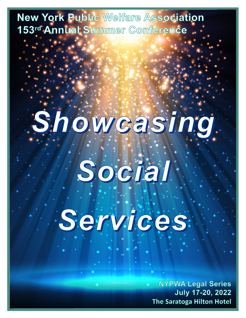New York Public Welfare Association 153rd Annual Summer Conference

# Showcasing.

# Social Services.

**NYPWA Legal Series** July 17-20, 2022 The Saratoga Hilton Hotel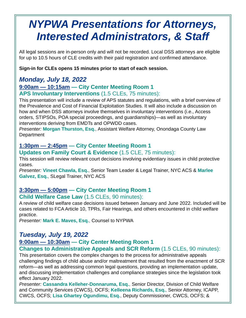## *NYPWA Presentations for Attorneys, Interested Administrators, & Staff*

All legal sessions are in-person only and will not be recorded. Local DSS attorneys are eligible for up to 10.5 hours of CLE credits with their paid registration and confirmed attendance.

**Sign-in for CLEs opens 15 minutes prior to start of each session.**

#### *Monday, July 18, 2022*

#### **9:00am — 10:15am — City Center Meeting Room 1 APS Involuntary Interventions** (1.5 CLEs, 75 minutes):

This presentation will include a review of APS statutes and regulations, with a brief overview of the Prevalence and Cost of Financial Exploitation Studies. It will also include a discussion on how and when DSS attorneys involve themselves in involuntary interventions (i.e., Access orders, STIPSOs, POA special proceedings, and guardianships)—as well as involuntary interventions deriving from EMDTs and OPWDD cases.

*Presenter:* **Morgan Thurston, Esq.**, Assistant Welfare Attorney, Onondaga County Law **Department** 

#### **1:30pm — 2:45pm — City Center Meeting Room 1**

#### **Updates on Family Court & Evidence** (1.5 CLE, 75 minutes):

This session will review relevant court decisions involving evidentiary issues in child protective cases.

*Presenter:* **Vineet Chawla, Esq.**, Senior Team Leader & Legal Trainer, NYC ACS & **Marlee Galvez, Esq.**, SLegal Trainer, NYC ACS

#### **3:30pm — 5:00pm — City Center Meeting Room 1**

#### **Child Welfare Case Law** (1.5 CLEs, 90 minutes):

A review of child welfare case decisions issued between January and June 2022. Included will be cases related to FCA Article 10, TPRs, Fair Hearings, and others encountered in child welfare practice.

*Presenter:* **Mark E. Maves, Esq.**, Counsel to NYPWA

#### *Tuesday, July 19, 2022*

#### **9:00am — 10:30am — City Center Meeting Room 1**

#### **Changes to Administrative Appeals and SCR Reform** (1.5 CLEs, 90 minutes):

This presentation covers the complex changes to the process for administrative appeals challenging findings of child abuse and/or maltreatment that resulted from the enactment of SCR reform—as well as addressing common legal questions, providing an implementation update, and discussing implementation challenges and compliance strategies since the legislation took effect January 2022.

*Presenter:* **Cassandra Kelleher-Donnaruma, Esq.**, Senior Director, Division of Child Welfare and Community Services (CWCS), OCFS; **Kelleena Richards, Esq.**, Senior Attorney, ICAPP, CWCS, OCFS; **Lisa Ghartey Ogundimu, Esq.**, Deputy Commissioner, CWCS, OCFS; &